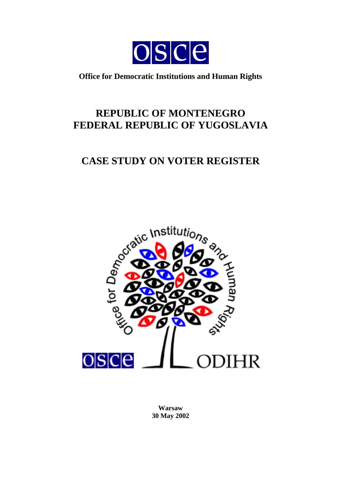

**Office for Democratic Institutions and Human Rights**

## **REPUBLIC OF MONTENEGRO FEDERAL REPUBLIC OF YUGOSLAVIA**

# **CASE STUDY ON VOTER REGISTER**



**Warsaw 30 May 2002**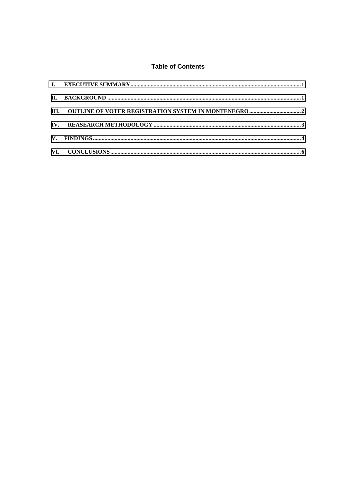### **Table of Contents**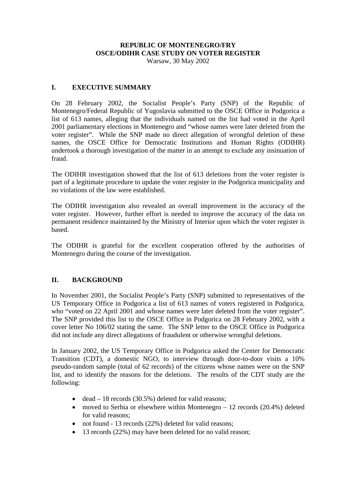## **REPUBLIC OF MONTENEGRO/FRY OSCE/ODIHR CASE STUDY ON VOTER REGISTER**

Warsaw, 30 May 2002

### <span id="page-2-0"></span>**I. EXECUTIVE SUMMARY**

On 28 February 2002, the Socialist People's Party (SNP) of the Republic of Montenegro/Federal Republic of Yugoslavia submitted to the OSCE Office in Podgorica a list of 613 names, alleging that the individuals named on the list had voted in the April 2001 parliamentary elections in Montenegro and "whose names were later deleted from the voter register". While the SNP made no direct allegation of wrongful deletion of these names, the OSCE Office for Democratic Institutions and Human Rights (ODIHR) undertook a thorough investigation of the matter in an attempt to exclude any insinuation of fraud.

The ODIHR investigation showed that the list of 613 deletions from the voter register is part of a legitimate procedure to update the voter register in the Podgorica municipality and no violations of the law were established.

The ODIHR investigation also revealed an overall improvement in the accuracy of the voter register. However, further effort is needed to improve the accuracy of the data on permanent residence maintained by the Ministry of Interior upon which the voter register is based.

The ODIHR is grateful for the excellent cooperation offered by the authorities of Montenegro during the course of the investigation.

## **II. BACKGROUND**

In November 2001, the Socialist People's Party (SNP) submitted to representatives of the US Temporary Office in Podgorica a list of 613 names of voters registered in Podgorica, who "voted on 22 April 2001 and whose names were later deleted from the voter register". The SNP provided this list to the OSCE Office in Podgorica on 28 February 2002, with a cover letter No 106/02 stating the same. The SNP letter to the OSCE Office in Podgorica did not include any direct allegations of fraudulent or otherwise wrongful deletions.

In January 2002, the US Temporary Office in Podgorica asked the Center for Democratic Transition (CDT), a domestic NGO, to interview through door-to-door visits a 10% pseudo-random sample (total of 62 records) of the citizens whose names were on the SNP list, and to identify the reasons for the deletions. The results of the CDT study are the following:

- dead  $-18$  records (30.5%) deleted for valid reasons;
- moved to Serbia or elsewhere within Montenegro 12 records (20.4%) deleted for valid reasons;
- not found 13 records (22%) deleted for valid reasons;
- 13 records (22%) may have been deleted for no valid reason;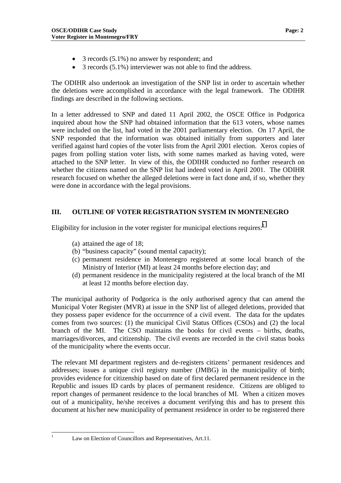- <span id="page-3-0"></span>• 3 records  $(5.1\%)$  no answer by respondent; and
- 3 records (5.1%) interviewer was not able to find the address.

The ODIHR also undertook an investigation of the SNP list in order to ascertain whether the deletions were accomplished in accordance with the legal framework. The ODIHR findings are described in the following sections.

In a letter addressed to SNP and dated 11 April 2002, the OSCE Office in Podgorica inquired about how the SNP had obtained information that the 613 voters, whose names were included on the list, had voted in the 2001 parliamentary election. On 17 April, the SNP responded that the information was obtained initially from supporters and later verified against hard copies of the voter lists from the April 2001 election. Xerox copies of pages from polling station voter lists, with some names marked as having voted, were attached to the SNP letter. In view of this, the ODIHR conducted no further research on whether the citizens named on the SNP list had indeed voted in April 2001. The ODIHR research focused on whether the alleged deletions were in fact done and, if so, whether they were done in accordance with the legal provisions.

### **III. OUTLINE OF VOTER REGISTRATION SYSTEM IN MONTENEGRO**

Eligibility for inclusion in the voter register for municipal elections requires: $1$ 

- (a) attained the age of 18;
- (b) "business capacity" (sound mental capacity);
- (c) permanent residence in Montenegro registered at some local branch of the Ministry of Interior (MI) at least 24 months before election day; and
- (d) permanent residence in the municipality registered at the local branch of the MI at least 12 months before election day.

The municipal authority of Podgorica is the only authorised agency that can amend the Municipal Voter Register (MVR) at issue in the SNP list of alleged deletions, provided that they possess paper evidence for the occurrence of a civil event. The data for the updates comes from two sources: (1) the municipal Civil Status Offices (CSOs) and (2) the local branch of the MI. The CSO maintains the books for civil events – births, deaths, marriages/divorces, and citizenship. The civil events are recorded in the civil status books of the municipality where the events occur.

The relevant MI department registers and de-registers citizens' permanent residences and addresses; issues a unique civil registry number (JMBG) in the municipality of birth; provides evidence for citizenship based on date of first declared permanent residence in the Republic and issues ID cards by places of permanent residence. Citizens are obliged to report changes of permanent residence to the local branches of MI. When a citizen moves out of a municipality, he/she receives a document verifying this and has to present this document at his/her new municipality of permanent residence in order to be registered there

 $\frac{1}{1}$ 

Law on Election of Councillors and Representatives, Art.11.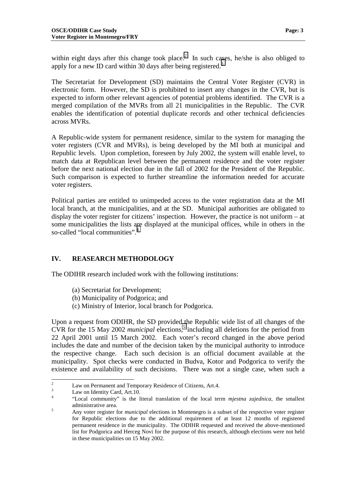<span id="page-4-0"></span>within eight days after this change took place.<sup>2</sup> In such cases, he/she is also obliged to apply for a new ID card within 30 days after being registered.<sup>3</sup>

The Secretariat for Development (SD) maintains the Central Voter Register (CVR) in electronic form. However, the SD is prohibited to insert any changes in the CVR, but is expected to inform other relevant agencies of potential problems identified. The CVR is a merged compilation of the MVRs from all 21 municipalities in the Republic. The CVR enables the identification of potential duplicate records and other technical deficiencies across MVRs.

A Republic-wide system for permanent residence, similar to the system for managing the voter registers (CVR and MVRs), is being developed by the MI both at municipal and Republic levels. Upon completion, foreseen by July 2002, the system will enable level, to match data at Republican level between the permanent residence and the voter register before the next national election due in the fall of 2002 for the President of the Republic. Such comparison is expected to further streamline the information needed for accurate voter registers.

Political parties are entitled to unimpeded access to the voter registration data at the MI local branch, at the municipalities, and at the SD. Municipal authorities are obligated to display the voter register for citizens' inspection. However, the practice is not uniform – at some municipalities the lists are displayed at the municipal offices, while in others in the so-called "local communities".<sup>4</sup>

### **IV. REASEARCH METHODOLOGY**

The ODIHR research included work with the following institutions:

- (a) Secretariat for Development;
- (b) Municipality of Podgorica; and
- (c) Ministry of Interior, local branch for Podgorica.

Upon a request from ODIHR, the SD provided the Republic wide list of all changes of the CVR for the 15 May 2002 *municipal* elections,<sup>5</sup> including all deletions for the period from 22 April 2001 until 15 March 2002. Each voter's record changed in the above period includes the date and number of the decision taken by the municipal authority to introduce the respective change. Each such decision is an official document available at the municipality. Spot checks were conducted in Budva, Kotor and Podgorica to verify the existence and availability of such decisions. There was not a single case, when such a

 $\frac{1}{2}$ Law on Permanent and Temporary Residence of Citizens, Art.4.

<sup>3</sup> Law on Identity Card, Art.10.

<sup>4</sup> "Local community" is the literal translation of the local term *mjestna zajednica*, the smallest administrative area.

Any voter register for *municipal* elections in Montenegro is a subset of the respective voter register for Republic elections due to the additional requirement of at least 12 months of registered permanent residence in the municipality. The ODIHR requested and received the above-mentioned list for Podgorica and Herceg Novi for the purpose of this research, although elections were not held in these municipalities on 15 May 2002.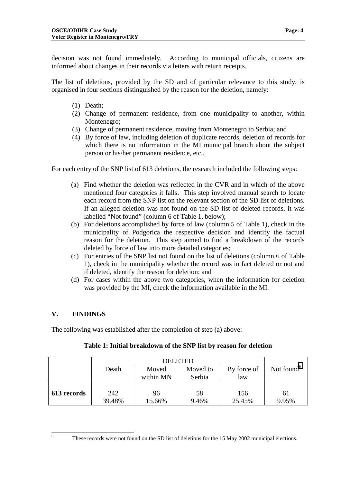<span id="page-5-0"></span>decision was not found immediately. According to municipal officials, citizens are informed about changes in their records via letters with return receipts.

The list of deletions, provided by the SD and of particular relevance to this study, is organised in four sections distinguished by the reason for the deletion, namely:

- (1) Death;
- (2) Change of permanent residence, from one municipality to another, within Montenegro;
- (3) Change of permanent residence, moving from Montenegro to Serbia; and
- (4) By force of law, including deletion of duplicate records, deletion of records for which there is no information in the MI municipal branch about the subject person or his/her permanent residence, etc..

For each entry of the SNP list of 613 deletions, the research included the following steps:

- (a) Find whether the deletion was reflected in the CVR and in which of the above mentioned four categories it falls. This step involved manual search to locate each record from the SNP list on the relevant section of the SD list of deletions. If an alleged deletion was not found on the SD list of deleted records, it was labelled "Not found" (column 6 of Table 1, below);
- (b) For deletions accomplished by force of law (column 5 of Table 1), check in the municipality of Podgorica the respective decision and identify the factual reason for the deletion. This step aimed to find a breakdown of the records deleted by force of law into more detailed categories;
- (c) For entries of the SNP list not found on the list of deletions (column 6 of Table 1), check in the municipality whether the record was in fact deleted or not and if deleted, identify the reason for deletion; and
- (d) For cases within the above two categories, when the information for deletion was provided by the MI, check the information available in the MI.

## **V. FINDINGS**

The following was established after the completion of step (a) above:

|             | DELETED |           |          |             |                        |
|-------------|---------|-----------|----------|-------------|------------------------|
|             | Death   | Moved     | Moved to | By force of | Not found <sup>6</sup> |
|             |         | within MN | Serbia   | law         |                        |
|             |         |           |          |             |                        |
| 613 records | 242     | 96        | 58       | 156         | 61                     |
|             | 39.48%  | 15.66%    | 9.46%    | 25.45%      | 9.95%                  |

### **Table 1: Initial breakdown of the SNP list by reason for deletion**

These records were not found on the SD list of deletions for the 15 May 2002 municipal elections.

 $\frac{1}{6}$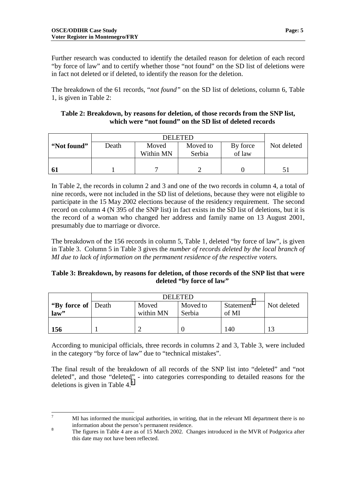Further research was conducted to identify the detailed reason for deletion of each record "by force of law" and to certify whether those "not found" on the SD list of deletions were in fact not deleted or if deleted, to identify the reason for the deletion.

The breakdown of the 61 records, "*not found"* on the SD list of deletions, column 6, Table 1, is given in Table 2:

| Table 2: Breakdown, by reasons for deletion, of those records from the SNP list, |
|----------------------------------------------------------------------------------|
| which were "not found" on the SD list of deleted records                         |

| "Not found" | Death | Moved<br>Within MN | Moved to<br>Serbia | By force<br>of law | Not deleted |
|-------------|-------|--------------------|--------------------|--------------------|-------------|
|             |       |                    |                    |                    |             |

In Table 2, the records in column 2 and 3 and one of the two records in column 4, a total of nine records, were not included in the SD list of deletions, because they were not eligible to participate in the 15 May 2002 elections because of the residency requirement. The second record on column 4 (N 395 of the SNP list) in fact exists in the SD list of deletions, but it is the record of a woman who changed her address and family name on 13 August 2001, presumably due to marriage or divorce.

The breakdown of the 156 records in column 5, Table 1, deleted "by force of law", is given in Table 3. Column 5 in Table 3 gives the *number of records deleted by the local branch of MI due to lack of information on the permanent residence of the respective voters.*

### **Table 3: Breakdown, by reasons for deletion, of those records of the SNP list that were deleted "by force of law"**

|                       | <b>DELETED</b> |           |          |                        |             |
|-----------------------|----------------|-----------|----------|------------------------|-------------|
| "By force of   Death" |                | Moved     | Moved to | Statement <sup>'</sup> | Not deleted |
| law"                  |                | within MN | Serbia   | of MI                  |             |
|                       |                |           |          |                        |             |
| 156                   |                |           |          | 140                    | 13          |

According to municipal officials, three records in columns 2 and 3, Table 3, were included in the category "by force of law" due to "technical mistakes".

The final result of the breakdown of all records of the SNP list into "deleted" and "not deleted", and those "deleted" - into categories corresponding to detailed reasons for the deletions is given in Table  $4<sup>8</sup>$ 

<sup>&</sup>lt;sup>-</sup>7 MI has informed the municipal authorities, in writing, that in the relevant MI department there is no <sup>8</sup> information about the person's permanent residence.<br><sup>8</sup> The figures in Table 4 are as of 15 March 2002. Changes introduced in the MVR of Podgorica after

this date may not have been reflected.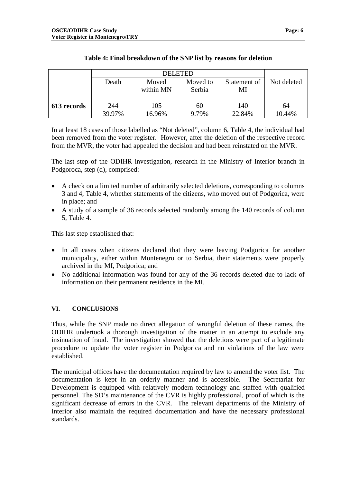<span id="page-7-0"></span>

|             | Death  | Moved     | Moved to | Statement of | Not deleted |
|-------------|--------|-----------|----------|--------------|-------------|
|             |        | within MN | Serbia   | MI           |             |
|             |        |           |          |              |             |
| 613 records | 244    | 105       | 60       | 140          | 64          |
|             | 39.97% | 16.96%    | 9.79%    | 22.84%       | 10.44%      |

### **Table 4: Final breakdown of the SNP list by reasons for deletion**

In at least 18 cases of those labelled as "Not deleted", column 6, Table 4, the individual had been removed from the voter register. However, after the deletion of the respective record from the MVR, the voter had appealed the decision and had been reinstated on the MVR.

The last step of the ODIHR investigation, research in the Ministry of Interior branch in Podgoroca, step (d), comprised:

- A check on a limited number of arbitrarily selected deletions, corresponding to columns 3 and 4, Table 4, whether statements of the citizens, who moved out of Podgorica, were in place; and
- A study of a sample of 36 records selected randomly among the 140 records of column 5, Table 4.

This last step established that:

- In all cases when citizens declared that they were leaving Podgorica for another municipality, either within Montenegro or to Serbia, their statements were properly archived in the MI, Podgorica; and
- No additional information was found for any of the 36 records deleted due to lack of information on their permanent residence in the MI.

#### **VI. CONCLUSIONS**

Thus, while the SNP made no direct allegation of wrongful deletion of these names, the ODIHR undertook a thorough investigation of the matter in an attempt to exclude any insinuation of fraud. The investigation showed that the deletions were part of a legitimate procedure to update the voter register in Podgorica and no violations of the law were established.

The municipal offices have the documentation required by law to amend the voter list. The documentation is kept in an orderly manner and is accessible. The Secretariat for Development is equipped with relatively modern technology and staffed with qualified personnel. The SD's maintenance of the CVR is highly professional, proof of which is the significant decrease of errors in the CVR. The relevant departments of the Ministry of Interior also maintain the required documentation and have the necessary professional standards.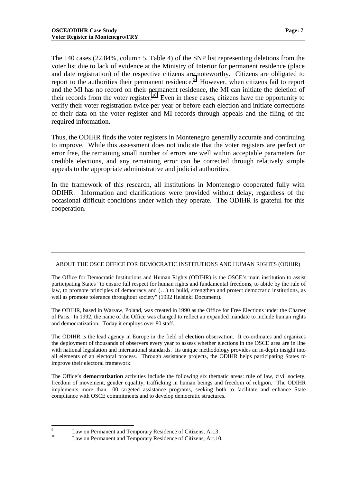The 140 cases (22.84%, column 5, Table 4) of the SNP list representing deletions from the voter list due to lack of evidence at the Ministry of Interior for permanent residence (place and date registration) of the respective citizens are noteworthy. Citizens are obligated to report to the authorities their permanent residence.<sup>9</sup> However, when citizens fail to report and the MI has no record on their permanent residence, the MI can initiate the deletion of their records from the voter register.<sup>10</sup> Even in these cases, citizens have the opportunity to verify their voter registration twice per year or before each election and initiate corrections of their data on the voter register and MI records through appeals and the filing of the required information.

Thus, the ODIHR finds the voter registers in Montenegro generally accurate and continuing to improve. While this assessment does not indicate that the voter registers are perfect or error free, the remaining small number of errors are well within acceptable parameters for credible elections, and any remaining error can be corrected through relatively simple appeals to the appropriate administrative and judicial authorities.

In the framework of this research, all institutions in Montenegro cooperated fully with ODIHR. Information and clarifications were provided without delay, regardless of the occasional difficult conditions under which they operate. The ODIHR is grateful for this cooperation.

#### ABOUT THE OSCE OFFICE FOR DEMOCRATIC INSTITUTIONS AND HUMAN RIGHTS (ODIHR)

The Office for Democratic Institutions and Human Rights (ODIHR) is the OSCE's main institution to assist participating States "to ensure full respect for human rights and fundamental freedoms, to abide by the rule of law, to promote principles of democracy and (…) to build, strengthen and protect democratic institutions, as well as promote tolerance throughout society" (1992 Helsinki Document).

The ODIHR, based in Warsaw, Poland, was created in 1990 as the Office for Free Elections under the Charter of Paris. In 1992, the name of the Office was changed to reflect an expanded mandate to include human rights and democratization. Today it employs over 80 staff.

The ODIHR is the lead agency in Europe in the field of **election** observation. It co-ordinates and organizes the deployment of thousands of observers every year to assess whether elections in the OSCE area are in line with national legislation and international standards. Its unique methodology provides an in-depth insight into all elements of an electoral process. Through assistance projects, the ODIHR helps participating States to improve their electoral framework.

The Office's **democratization** activities include the following six thematic areas: rule of law, civil society, freedom of movement, gender equality, trafficking in human beings and freedom of religion. The ODIHR implements more than 100 targeted assistance programs, seeking both to facilitate and enhance State compliance with OSCE commitments and to develop democratic structures.

<sup>&</sup>lt;sup>9</sup> Law on Permanent and Temporary Residence of Citizens, Art.3.

Law on Permanent and Temporary Residence of Citizens, Art.10.